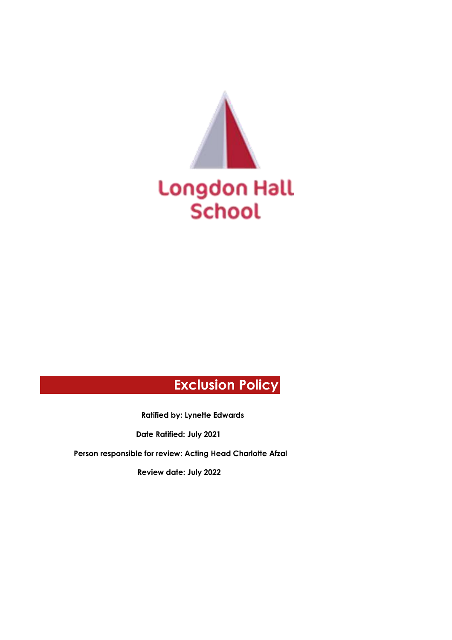

# **Exclusion Policy**

**Ratified by: Lynette Edwards** 

**Date Ratified: July 2021** 

**Person responsible for review: Acting Head Charlotte Afzal**

**Review date: July 2022**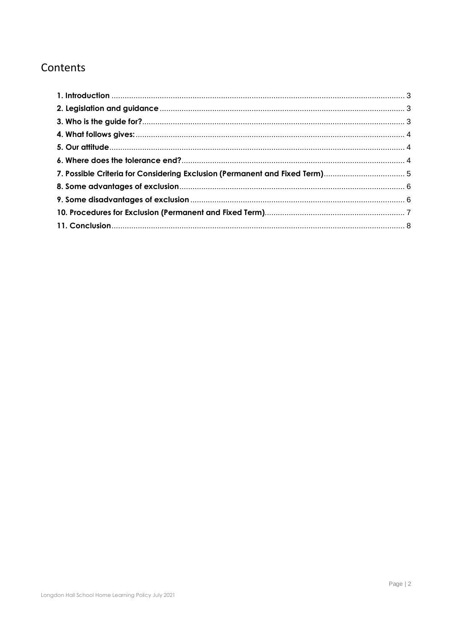# Contents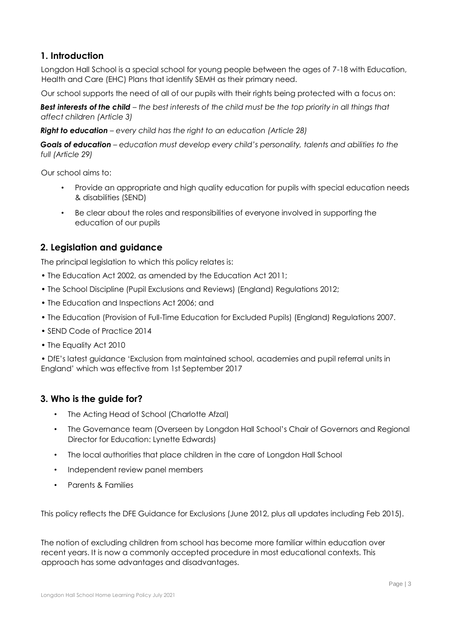# <span id="page-2-0"></span>**1. Introduction**

Longdon Hall School is a special school for young people between the ages of 7-18 with Education, Health and Care (EHC) Plans that identify SEMH as their primary need.

Our school supports the need of all of our pupils with their rights being protected with a focus on:

*Best interests of the child – the best interests of the child must be the top priority in all things that affect children (Article 3)* 

*Right to education – every child has the right to an education (Article 28)* 

*Goals of education – education must develop every child's personality, talents and abilities to the full (Article 29)* 

Our school aims to:

- Provide an appropriate and high quality education for pupils with special education needs & disabilities (SEND)
- Be clear about the roles and responsibilities of everyone involved in supporting the education of our pupils

# <span id="page-2-1"></span>**2. Legislation and guidance**

The principal legislation to which this policy relates is:

- The Education Act 2002, as amended by the Education Act 2011;
- The School Discipline (Pupil Exclusions and Reviews) (England) Regulations 2012;
- The Education and Inspections Act 2006; and
- The Education (Provision of Full-Time Education for Excluded Pupils) (England) Regulations 2007.
- SEND Code of Practice 2014
- The Equality Act 2010

• DfE's latest guidance 'Exclusion from maintained school, academies and pupil referral units in England' which was effective from 1st September 2017

# <span id="page-2-2"></span>**3. Who is the guide for?**

- The Acting Head of School (Charlotte Afzal)
- The Governance team (Overseen by Longdon Hall School's Chair of Governors and Regional Director for Education: Lynette Edwards)
- The local authorities that place children in the care of Longdon Hall School
- Independent review panel members
- Parents & Families

This policy reflects the DFE Guidance for Exclusions (June 2012, plus all updates including Feb 2015).

The notion of excluding children from school has become more familiar within education over recent years. It is now a commonly accepted procedure in most educational contexts. This approach has some advantages and disadvantages.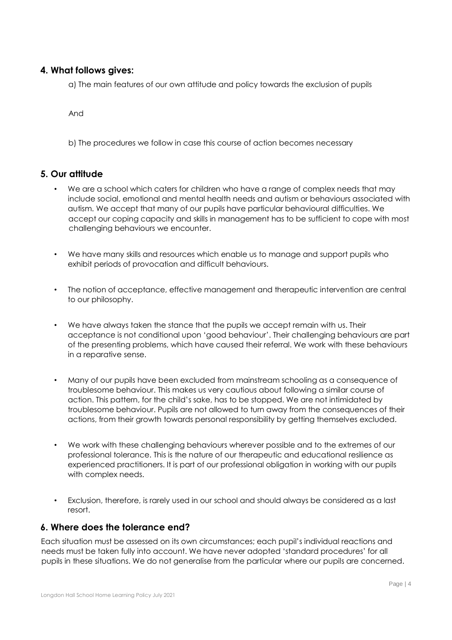#### <span id="page-3-0"></span>**4. What follows gives:**

a) The main features of our own attitude and policy towards the exclusion of pupils

And

b) The procedures we follow in case this course of action becomes necessary

#### <span id="page-3-1"></span>**5. Our attitude**

- We are a school which caters for children who have a range of complex needs that may include social, emotional and mental health needs and autism or behaviours associated with autism. We accept that many of our pupils have particular behavioural difficulties. We accept our coping capacity and skills in management has to be sufficient to cope with most challenging behaviours we encounter.
- We have many skills and resources which enable us to manage and support pupils who exhibit periods of provocation and difficult behaviours.
- The notion of acceptance, effective management and therapeutic intervention are central to our philosophy.
- We have always taken the stance that the pupils we accept remain with us. Their acceptance is not conditional upon 'good behaviour'. Their challenging behaviours are part of the presenting problems, which have caused their referral. We work with these behaviours in a reparative sense.
- Many of our pupils have been excluded from mainstream schooling as a consequence of troublesome behaviour. This makes us very cautious about following a similar course of action. This pattern, for the child's sake, has to be stopped. We are not intimidated by troublesome behaviour. Pupils are not allowed to turn away from the consequences of their actions, from their growth towards personal responsibility by getting themselves excluded.
- We work with these challenging behaviours wherever possible and to the extremes of our professional tolerance. This is the nature of our therapeutic and educational resilience as experienced practitioners. It is part of our professional obligation in working with our pupils with complex needs.
- Exclusion, therefore, is rarely used in our school and should always be considered as a last resort.

#### <span id="page-3-2"></span>**6. Where does the tolerance end?**

Each situation must be assessed on its own circumstances; each pupil's individual reactions and needs must be taken fully into account. We have never adopted 'standard procedures' for all pupils in these situations. We do not generalise from the particular where our pupils are concerned.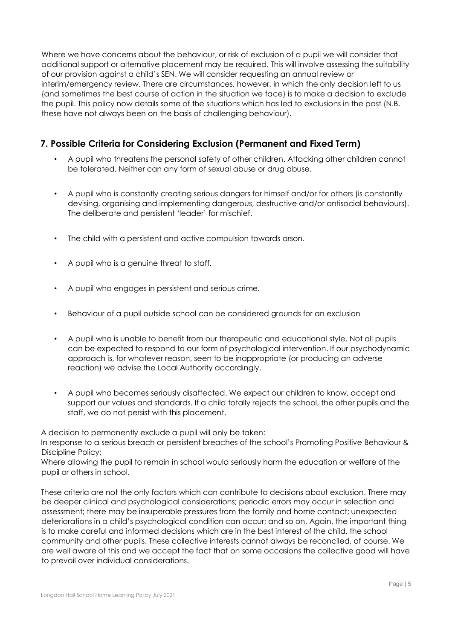Where we have concerns about the behaviour, or risk of exclusion of a pupil we will consider that additional support or alternative placement may be required. This will involve assessing the suitability of our provision against a child's SEN. We will consider requesting an annual review or interim/emergency review. There are circumstances, however, in which the only decision left to us (and sometimes the best course of action in the situation we face) is to make a decision to exclude the pupil. This policy now details some of the situations which has led to exclusions in the past (N.B. these have not always been on the basis of challenging behaviour).

# <span id="page-4-0"></span>**7. Possible Criteria for Considering Exclusion (Permanent and Fixed Term)**

- A pupil who threatens the personal safety of other children. Attacking other children cannot be tolerated. Neither can any form of sexual abuse or drug abuse.
- A pupil who is constantly creating serious dangers for himself and/or for others (is constantly devising, organising and implementing dangerous, destructive and/or antisocial behaviours). The deliberate and persistent 'leader' for mischief.
- The child with a persistent and active compulsion towards arson.
- A pupil who is a genuine threat to staff.
- A pupil who engages in persistent and serious crime.
- Behaviour of a pupil outside school can be considered grounds for an exclusion
- A pupil who is unable to benefit from our therapeutic and educational style. Not all pupils can be expected to respond to our form of psychological intervention. If our psychodynamic approach is, for whatever reason, seen to be inappropriate (or producing an adverse reaction) we advise the Local Authority accordingly.
- A pupil who becomes seriously disaffected. We expect our children to know, accept and support our values and standards. If a child totally rejects the school, the other pupils and the staff, we do not persist with this placement.

A decision to permanently exclude a pupil will only be taken:

In response to a serious breach or persistent breaches of the school's Promoting Positive Behaviour & Discipline Policy;

Where allowing the pupil to remain in school would seriously harm the education or welfare of the pupil or others in school.

These criteria are not the only factors which can contribute to decisions about exclusion. There may be deeper clinical and psychological considerations; periodic errors may occur in selection and assessment; there may be insuperable pressures from the family and home contact; unexpected deteriorations in a child's psychological condition can occur; and so on. Again, the important thing is to make careful and informed decisions which are in the best interest of the child, the school community and other pupils. These collective interests cannot always be reconciled, of course. We are well aware of this and we accept the fact that on some occasions the collective good will have to prevail over individual considerations.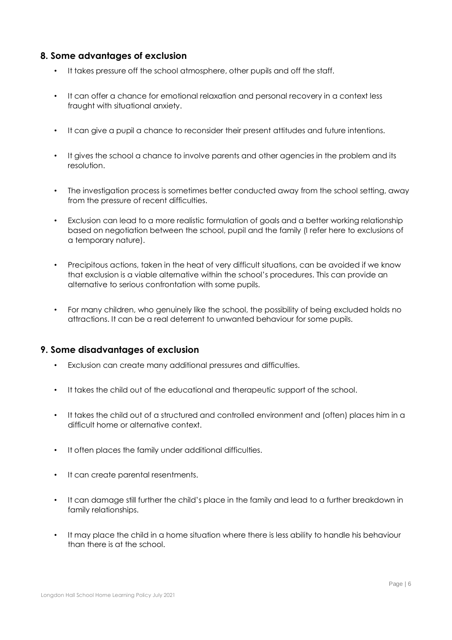# <span id="page-5-0"></span>**8. Some advantages of exclusion**

- It takes pressure off the school atmosphere, other pupils and off the staff.
- It can offer a chance for emotional relaxation and personal recovery in a context less fraught with situational anxiety.
- It can give a pupil a chance to reconsider their present attitudes and future intentions.
- It gives the school a chance to involve parents and other agencies in the problem and its resolution.
- The investigation process is sometimes better conducted away from the school setting, away from the pressure of recent difficulties.
- Exclusion can lead to a more realistic formulation of goals and a better working relationship based on negotiation between the school, pupil and the family (I refer here to exclusions of a temporary nature).
- Precipitous actions, taken in the heat of very difficult situations, can be avoided if we know that exclusion is a viable alternative within the school's procedures. This can provide an alternative to serious confrontation with some pupils.
- For many children, who genuinely like the school, the possibility of being excluded holds no attractions. It can be a real deterrent to unwanted behaviour for some pupils.

# <span id="page-5-1"></span>**9. Some disadvantages of exclusion**

- Exclusion can create many additional pressures and difficulties.
- It takes the child out of the educational and therapeutic support of the school.
- It takes the child out of a structured and controlled environment and (often) places him in a difficult home or alternative context.
- It often places the family under additional difficulties.
- It can create parental resentments.
- It can damage still further the child's place in the family and lead to a further breakdown in family relationships.
- It may place the child in a home situation where there is less ability to handle his behaviour than there is at the school.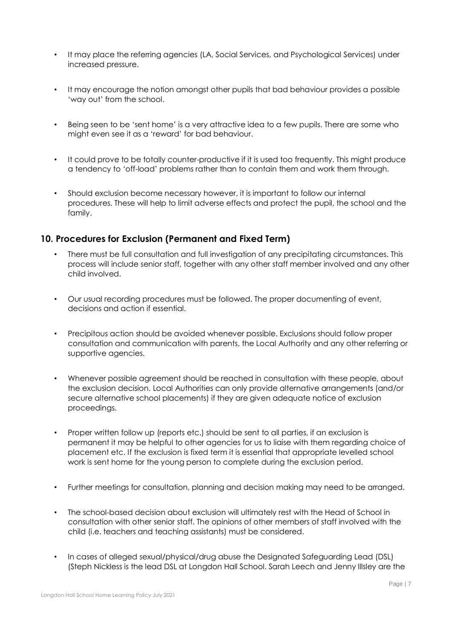- It may place the referring agencies (LA, Social Services, and Psychological Services) under increased pressure.
- It may encourage the notion amongst other pupils that bad behaviour provides a possible 'way out' from the school.
- Being seen to be 'sent home' is a very attractive idea to a few pupils. There are some who might even see it as a 'reward' for bad behaviour.
- It could prove to be totally counter-productive if it is used too frequently. This might produce a tendency to 'off-load' problems rather than to contain them and work them through.
- Should exclusion become necessary however, it is important to follow our internal procedures. These will help to limit adverse effects and protect the pupil, the school and the family.

# <span id="page-6-0"></span>**10. Procedures for Exclusion (Permanent and Fixed Term)**

- There must be full consultation and full investigation of any precipitating circumstances. This process will include senior staff, together with any other staff member involved and any other child involved.
- Our usual recording procedures must be followed. The proper documenting of event, decisions and action if essential.
- Precipitous action should be avoided whenever possible. Exclusions should follow proper consultation and communication with parents, the Local Authority and any other referring or supportive agencies.
- Whenever possible agreement should be reached in consultation with these people, about the exclusion decision. Local Authorities can only provide alternative arrangements (and/or secure alternative school placements) if they are given adequate notice of exclusion proceedings.
- Proper written follow up (reports etc.) should be sent to all parties, if an exclusion is permanent it may be helpful to other agencies for us to liaise with them regarding choice of placement etc. If the exclusion is fixed term it is essential that appropriate levelled school work is sent home for the young person to complete during the exclusion period.
- Further meetings for consultation, planning and decision making may need to be arranged.
- The school-based decision about exclusion will ultimately rest with the Head of School in consultation with other senior staff. The opinions of other members of staff involved with the child (i.e. teachers and teaching assistants) must be considered.
- In cases of alleged sexual/physical/drug abuse the Designated Safeguarding Lead (DSL) (Steph Nickless is the lead DSL at Longdon Hall School. Sarah Leech and Jenny Illsley are the